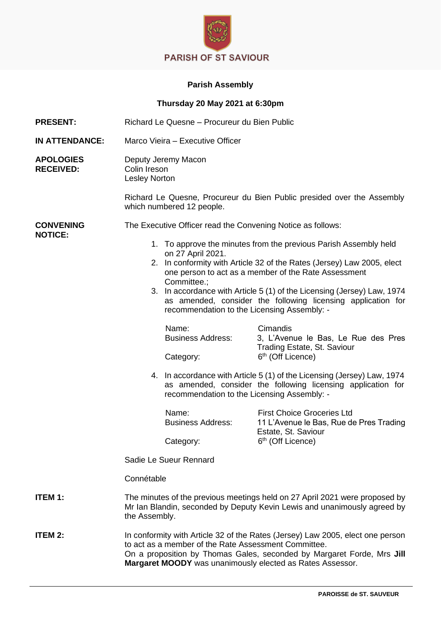

## **Parish Assembly**

| Thursday 20 May 2021 at 6:30pm       |                                                                                                                                                                                                                                                                               |                                                                                                                                                                                                                                                               |                                                                                                                 |  |
|--------------------------------------|-------------------------------------------------------------------------------------------------------------------------------------------------------------------------------------------------------------------------------------------------------------------------------|---------------------------------------------------------------------------------------------------------------------------------------------------------------------------------------------------------------------------------------------------------------|-----------------------------------------------------------------------------------------------------------------|--|
| <b>PRESENT:</b>                      | Richard Le Quesne - Procureur du Bien Public                                                                                                                                                                                                                                  |                                                                                                                                                                                                                                                               |                                                                                                                 |  |
| <b>IN ATTENDANCE:</b>                | Marco Vieira - Executive Officer                                                                                                                                                                                                                                              |                                                                                                                                                                                                                                                               |                                                                                                                 |  |
| <b>APOLOGIES</b><br><b>RECEIVED:</b> | Deputy Jeremy Macon<br>Colin Ireson<br>Lesley Norton                                                                                                                                                                                                                          |                                                                                                                                                                                                                                                               |                                                                                                                 |  |
|                                      | Richard Le Quesne, Procureur du Bien Public presided over the Assembly<br>which numbered 12 people.                                                                                                                                                                           |                                                                                                                                                                                                                                                               |                                                                                                                 |  |
| <b>CONVENING</b><br><b>NOTICE:</b>   | The Executive Officer read the Convening Notice as follows:                                                                                                                                                                                                                   |                                                                                                                                                                                                                                                               |                                                                                                                 |  |
|                                      | 1. To approve the minutes from the previous Parish Assembly held<br>on 27 April 2021.<br>2. In conformity with Article 32 of the Rates (Jersey) Law 2005, elect                                                                                                               |                                                                                                                                                                                                                                                               |                                                                                                                 |  |
|                                      |                                                                                                                                                                                                                                                                               | one person to act as a member of the Rate Assessment<br>Committee.;<br>3. In accordance with Article 5 (1) of the Licensing (Jersey) Law, 1974<br>as amended, consider the following licensing application for<br>recommendation to the Licensing Assembly: - |                                                                                                                 |  |
|                                      |                                                                                                                                                                                                                                                                               | Name:<br><b>Business Address:</b><br>Category:                                                                                                                                                                                                                | Cimandis<br>3, L'Avenue le Bas, Le Rue des Pres<br>Trading Estate, St. Saviour<br>6 <sup>th</sup> (Off Licence) |  |
|                                      |                                                                                                                                                                                                                                                                               | 4. In accordance with Article 5 (1) of the Licensing (Jersey) Law, 1974<br>as amended, consider the following licensing application for<br>recommendation to the Licensing Assembly: -                                                                        |                                                                                                                 |  |
|                                      |                                                                                                                                                                                                                                                                               | Name:<br><b>Business Address:</b>                                                                                                                                                                                                                             | <b>First Choice Groceries Ltd</b><br>11 L'Avenue le Bas, Rue de Pres Trading<br>Estate, St. Saviour             |  |
|                                      |                                                                                                                                                                                                                                                                               | Category:                                                                                                                                                                                                                                                     | 6 <sup>th</sup> (Off Licence)                                                                                   |  |
|                                      | Sadie Le Sueur Rennard                                                                                                                                                                                                                                                        |                                                                                                                                                                                                                                                               |                                                                                                                 |  |
|                                      | Connétable                                                                                                                                                                                                                                                                    |                                                                                                                                                                                                                                                               |                                                                                                                 |  |
| ITEM 1:                              | The minutes of the previous meetings held on 27 April 2021 were proposed by<br>Mr Ian Blandin, seconded by Deputy Kevin Lewis and unanimously agreed by<br>the Assembly.                                                                                                      |                                                                                                                                                                                                                                                               |                                                                                                                 |  |
| ITEM 2:                              | In conformity with Article 32 of the Rates (Jersey) Law 2005, elect one person<br>to act as a member of the Rate Assessment Committee.<br>On a proposition by Thomas Gales, seconded by Margaret Forde, Mrs Jill<br>Margaret MOODY was unanimously elected as Rates Assessor. |                                                                                                                                                                                                                                                               |                                                                                                                 |  |